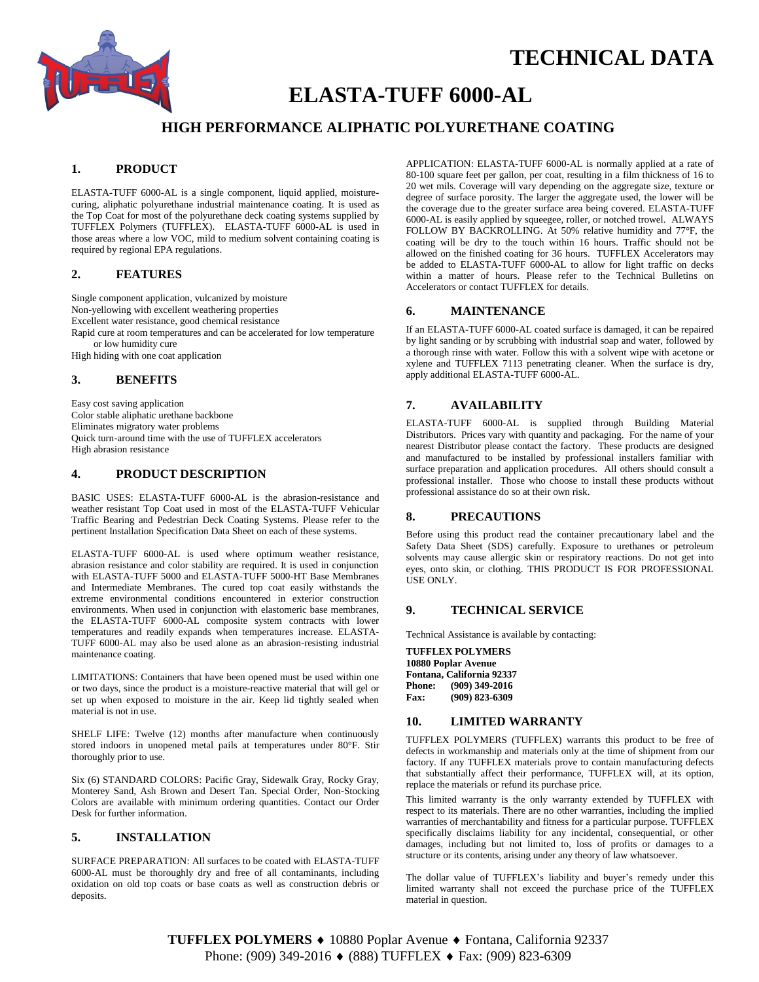

# **TECHNICAL DATA**

# **ELASTA-TUFF 6000-AL**

# **HIGH PERFORMANCE ALIPHATIC POLYURETHANE COATING**

### **1. PRODUCT**

ELASTA-TUFF 6000-AL is a single component, liquid applied, moisturecuring, aliphatic polyurethane industrial maintenance coating. It is used as the Top Coat for most of the polyurethane deck coating systems supplied by TUFFLEX Polymers (TUFFLEX). ELASTA-TUFF 6000-AL is used in those areas where a low VOC, mild to medium solvent containing coating is required by regional EPA regulations.

#### **2. FEATURES**

Single component application, vulcanized by moisture Non-yellowing with excellent weathering properties Excellent water resistance, good chemical resistance Rapid cure at room temperatures and can be accelerated for low temperature or low humidity cure

High hiding with one coat application

### **3. BENEFITS**

Easy cost saving application Color stable aliphatic urethane backbone Eliminates migratory water problems Quick turn-around time with the use of TUFFLEX accelerators High abrasion resistance

#### **4. PRODUCT DESCRIPTION**

BASIC USES: ELASTA-TUFF 6000-AL is the abrasion-resistance and weather resistant Top Coat used in most of the ELASTA-TUFF Vehicular Traffic Bearing and Pedestrian Deck Coating Systems. Please refer to the pertinent Installation Specification Data Sheet on each of these systems.

ELASTA-TUFF 6000-AL is used where optimum weather resistance, abrasion resistance and color stability are required. It is used in conjunction with ELASTA-TUFF 5000 and ELASTA-TUFF 5000-HT Base Membranes and Intermediate Membranes. The cured top coat easily withstands the extreme environmental conditions encountered in exterior construction environments. When used in conjunction with elastomeric base membranes, the ELASTA-TUFF 6000-AL composite system contracts with lower temperatures and readily expands when temperatures increase. ELASTA-TUFF 6000-AL may also be used alone as an abrasion-resisting industrial maintenance coating.

LIMITATIONS: Containers that have been opened must be used within one or two days, since the product is a moisture-reactive material that will gel or set up when exposed to moisture in the air. Keep lid tightly sealed when material is not in use.

SHELF LIFE: Twelve (12) months after manufacture when continuously stored indoors in unopened metal pails at temperatures under 80°F. Stir thoroughly prior to use.

Six (6) STANDARD COLORS: Pacific Gray, Sidewalk Gray, Rocky Gray, Monterey Sand, Ash Brown and Desert Tan. Special Order, Non-Stocking Colors are available with minimum ordering quantities. Contact our Order Desk for further information.

# **5. INSTALLATION**

SURFACE PREPARATION: All surfaces to be coated with ELASTA-TUFF 6000-AL must be thoroughly dry and free of all contaminants, including oxidation on old top coats or base coats as well as construction debris or deposits.

APPLICATION: ELASTA-TUFF 6000-AL is normally applied at a rate of 80-100 square feet per gallon, per coat, resulting in a film thickness of 16 to 20 wet mils. Coverage will vary depending on the aggregate size, texture or degree of surface porosity. The larger the aggregate used, the lower will be the coverage due to the greater surface area being covered. ELASTA-TUFF 6000-AL is easily applied by squeegee, roller, or notched trowel. ALWAYS FOLLOW BY BACKROLLING. At 50% relative humidity and 77°F, the coating will be dry to the touch within 16 hours. Traffic should not be allowed on the finished coating for 36 hours. TUFFLEX Accelerators may be added to ELASTA-TUFF 6000-AL to allow for light traffic on decks within a matter of hours. Please refer to the Technical Bulletins on Accelerators or contact TUFFLEX for details.

#### **6. MAINTENANCE**

If an ELASTA-TUFF 6000-AL coated surface is damaged, it can be repaired by light sanding or by scrubbing with industrial soap and water, followed by a thorough rinse with water. Follow this with a solvent wipe with acetone or xylene and TUFFLEX 7113 penetrating cleaner*.* When the surface is dry, apply additional ELASTA-TUFF 6000-AL.

# **7. AVAILABILITY**

ELASTA-TUFF 6000-AL is supplied through Building Material Distributors. Prices vary with quantity and packaging. For the name of your nearest Distributor please contact the factory. These products are designed and manufactured to be installed by professional installers familiar with surface preparation and application procedures. All others should consult a professional installer. Those who choose to install these products without professional assistance do so at their own risk.

#### **8. PRECAUTIONS**

Before using this product read the container precautionary label and the Safety Data Sheet (SDS) carefully. Exposure to urethanes or petroleum solvents may cause allergic skin or respiratory reactions. Do not get into eyes, onto skin, or clothing. THIS PRODUCT IS FOR PROFESSIONAL USE ONLY.

#### **9. TECHNICAL SERVICE**

Technical Assistance is available by contacting:

**TUFFLEX POLYMERS 10880 Poplar Avenue Fontana, California 92337 Phone: (909) 349-2016 Fax: (909) 823-6309**

#### **10. LIMITED WARRANTY**

TUFFLEX POLYMERS (TUFFLEX) warrants this product to be free of defects in workmanship and materials only at the time of shipment from our factory. If any TUFFLEX materials prove to contain manufacturing defects that substantially affect their performance, TUFFLEX will, at its option, replace the materials or refund its purchase price.

This limited warranty is the only warranty extended by TUFFLEX with respect to its materials. There are no other warranties, including the implied warranties of merchantability and fitness for a particular purpose. TUFFLEX specifically disclaims liability for any incidental, consequential, or other damages, including but not limited to, loss of profits or damages to a structure or its contents, arising under any theory of law whatsoever.

The dollar value of TUFFLEX's liability and buyer's remedy under this limited warranty shall not exceed the purchase price of the TUFFLEX material in question.

TUFFLEX POLYMERS ♦ 10880 Poplar Avenue ♦ Fontana, California 92337 Phone: (909) 349-2016 ♦ (888) TUFFLEX ♦ Fax: (909) 823-6309